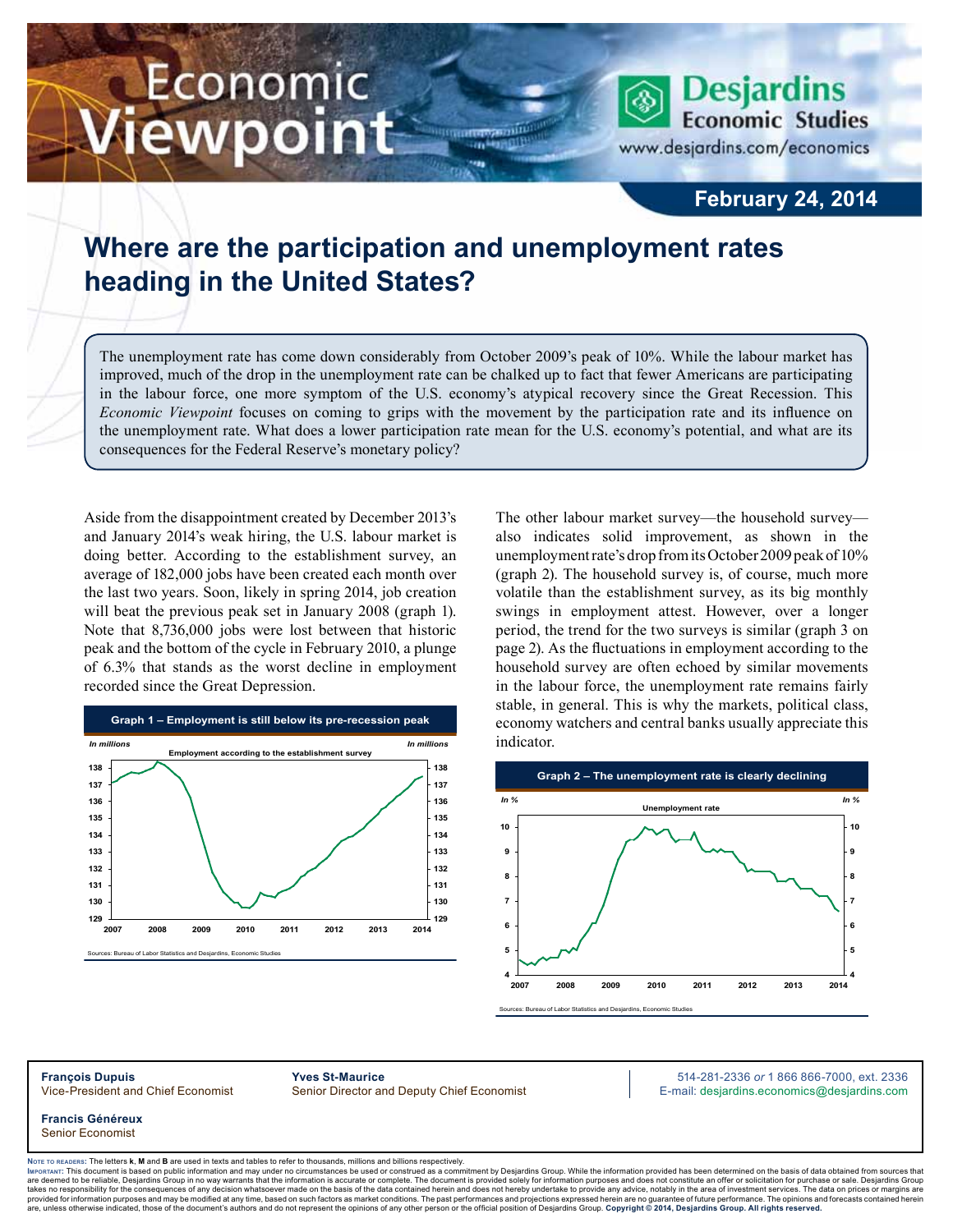# Economic ewpoint

**February 24, 2014**

**Desjardins** 

www.desjardins.com/economics

**Economic Studies** 

## **Where are the participation and unemployment rates heading in the United States?**

The unemployment rate has come down considerably from October 2009's peak of 10%. While the labour market has improved, much of the drop in the unemployment rate can be chalked up to fact that fewer Americans are participating in the labour force, one more symptom of the U.S. economy's atypical recovery since the Great Recession. This *Economic Viewpoint* focuses on coming to grips with the movement by the participation rate and its influence on the unemployment rate. What does a lower participation rate mean for the U.S. economy's potential, and what are its consequences for the Federal Reserve's monetary policy?

m

Aside from the disappointment created by December 2013's and January 2014's weak hiring, the U.S. labour market is doing better. According to the establishment survey, an average of 182,000 jobs have been created each month over the last two years. Soon, likely in spring 2014, job creation will beat the previous peak set in January 2008 (graph 1). Note that 8,736,000 jobs were lost between that historic peak and the bottom of the cycle in February 2010, a plunge of 6.3% that stands as the worst decline in employment recorded since the Great Depression.



The other labour market survey—the household survey also indicates solid improvement, as shown in the unemployment rate's drop from its October 2009 peak of 10% (graph 2). The household survey is, of course, much more volatile than the establishment survey, as its big monthly swings in employment attest. However, over a longer period, the trend for the two surveys is similar (graph 3 on page 2). As the fluctuations in employment according to the household survey are often echoed by similar movements in the labour force, the unemployment rate remains fairly stable, in general. This is why the markets, political class, economy watchers and central banks usually appreciate this indicator.



**François Dupuis Yves St-Maurice** 514-281-2336 *or* 1 866 866-7000, ext. 2336 Vice-President and Chief Economist Senior Director and Deputy Chief Economist E-mail: desjardins.economics@desjardins.com

**Francis Généreux** Senior Economist

Noте то келоекs: The letters **k, M** and **B** are used in texts and tables to refer to thousands, millions and billions respectively.<br>Імроктлит: This document is based on public information and may under no circumstances be are deemed to be reliable. Desiardins Group in no way warrants that the information is accurate or complete. The document is provided solely for information purposes and does not constitute an offer or solicitation for pur takes no responsibility for the consequences of any decision whatsoever made on the basis of the data contained herein and does not hereby undertake to provide any advice, notably in the area of investment services. The da .<br>are, unless otherwise indicated, those of the document's authors and do not represent the opinions of any other person or the official position of Desjardins Group. Copyright © 2014, Desjardins Group. All rights reserve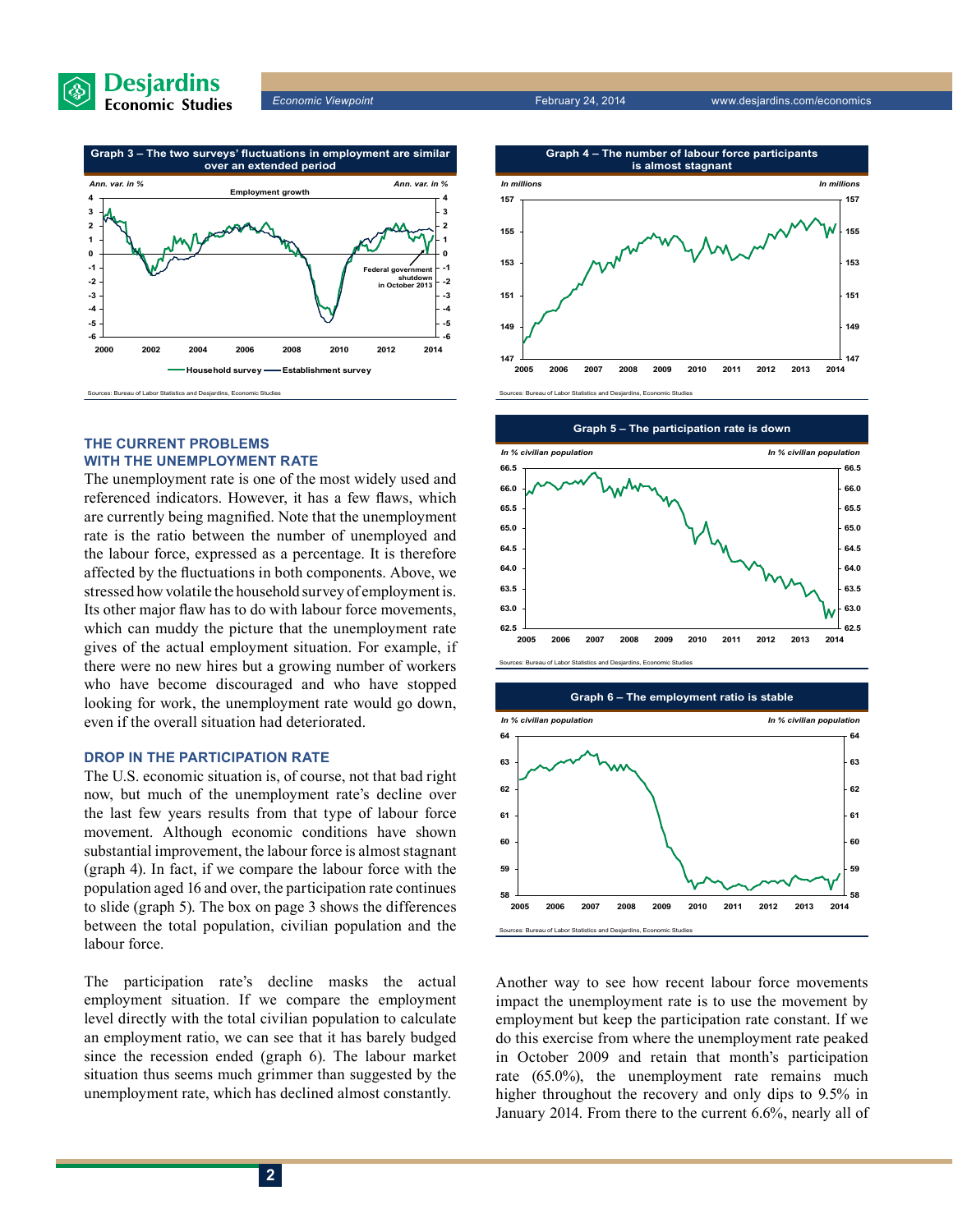



### **The current problems with the unemployment rate**

The unemployment rate is one of the most widely used and referenced indicators. However, it has a few flaws, which are currently being magnified. Note that the unemployment rate is the ratio between the number of unemployed and the labour force, expressed as a percentage. It is therefore affected by the fluctuations in both components. Above, we stressed how volatile the household survey of employment is. Its other major flaw has to do with labour force movements, which can muddy the picture that the unemployment rate gives of the actual employment situation. For example, if there were no new hires but a growing number of workers who have become discouraged and who have stopped looking for work, the unemployment rate would go down, even if the overall situation had deteriorated.

#### **Drop in the participation rate**

The U.S. economic situation is, of course, not that bad right now, but much of the unemployment rate's decline over the last few years results from that type of labour force movement. Although economic conditions have shown substantial improvement, the labour force is almost stagnant (graph 4). In fact, if we compare the labour force with the population aged 16 and over, the participation rate continues to slide (graph 5). The box on page 3 shows the differences between the total population, civilian population and the labour force.

The participation rate's decline masks the actual employment situation. If we compare the employment level directly with the total civilian population to calculate an employment ratio, we can see that it has barely budged since the recession ended (graph 6). The labour market situation thus seems much grimmer than suggested by the unemployment rate, which has declined almost constantly.







Another way to see how recent labour force movements impact the unemployment rate is to use the movement by employment but keep the participation rate constant. If we do this exercise from where the unemployment rate peaked in October 2009 and retain that month's participation rate (65.0%), the unemployment rate remains much higher throughout the recovery and only dips to 9.5% in January 2014. From there to the current 6.6%, nearly all of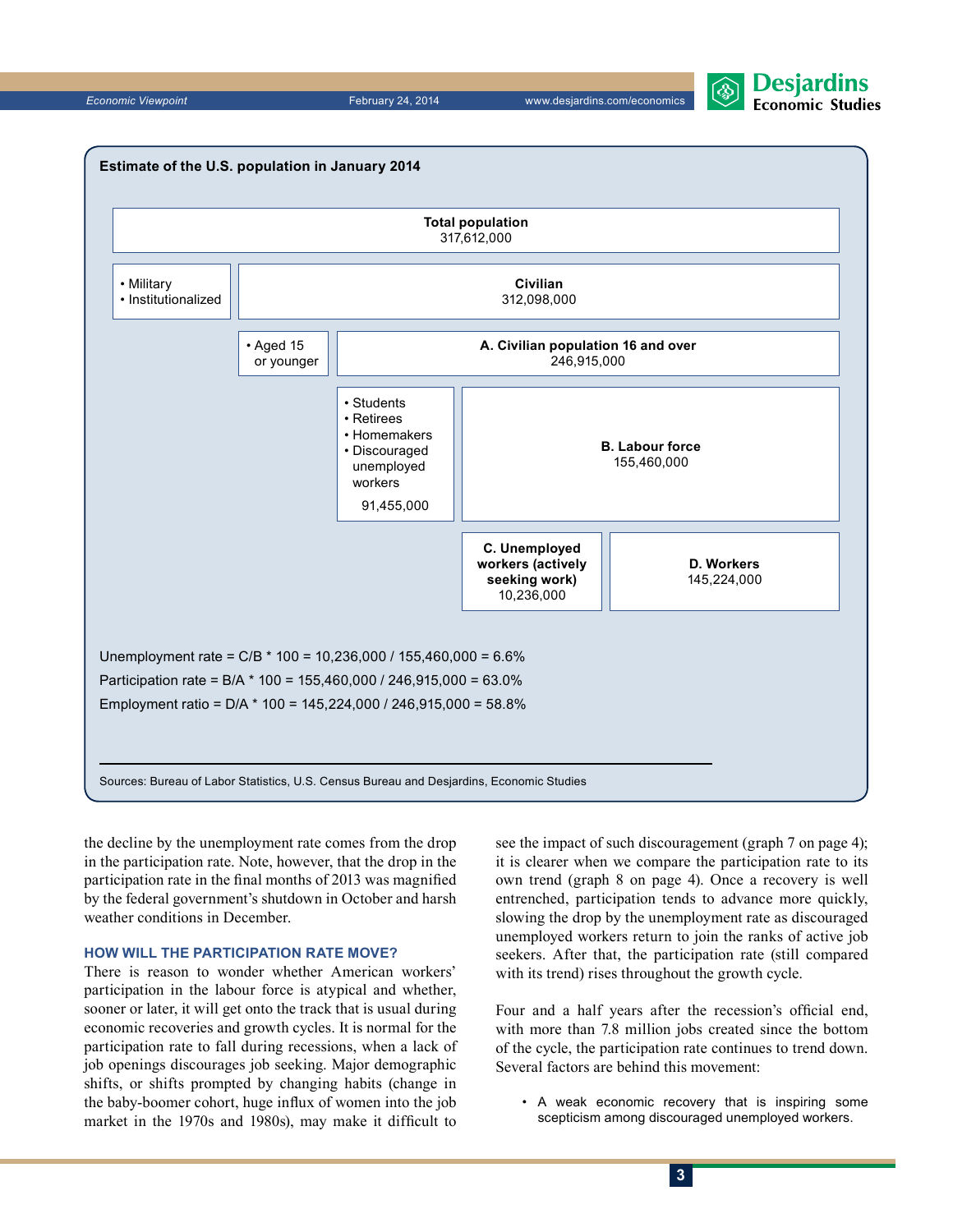*Economic Viewpoint* February 24, 2014 www.desjardins.com/economics





the decline by the unemployment rate comes from the drop in the participation rate. Note, however, that the drop in the participation rate in the final months of 2013 was magnified by the federal government's shutdown in October and harsh weather conditions in December.

#### **How will the participation rate move?**

There is reason to wonder whether American workers' participation in the labour force is atypical and whether, sooner or later, it will get onto the track that is usual during economic recoveries and growth cycles. It is normal for the participation rate to fall during recessions, when a lack of job openings discourages job seeking. Major demographic shifts, or shifts prompted by changing habits (change in the baby-boomer cohort, huge influx of women into the job market in the 1970s and 1980s), may make it difficult to

see the impact of such discouragement (graph 7 on page 4); it is clearer when we compare the participation rate to its own trend (graph 8 on page 4). Once a recovery is well entrenched, participation tends to advance more quickly, slowing the drop by the unemployment rate as discouraged unemployed workers return to join the ranks of active job seekers. After that, the participation rate (still compared with its trend) rises throughout the growth cycle.

Four and a half years after the recession's official end, with more than 7.8 million jobs created since the bottom of the cycle, the participation rate continues to trend down. Several factors are behind this movement:

• A weak economic recovery that is inspiring some scepticism among discouraged unemployed workers.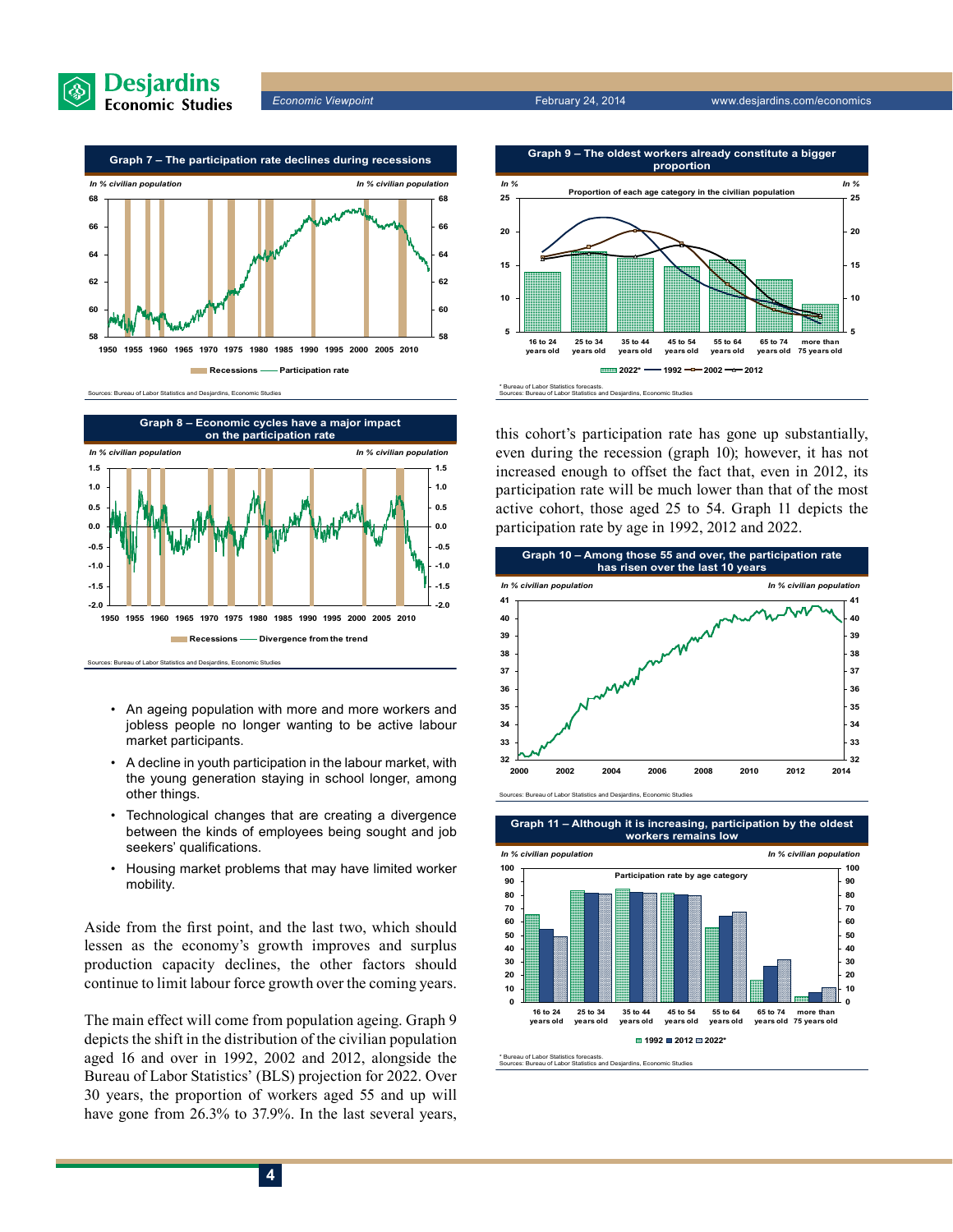



#### of Labor Statistics and Desjarding, Eco



urces: Bureau of Labor Statistics and Desjardins, Economic Stud

- An ageing population with more and more workers and jobless people no longer wanting to be active labour market participants.
- A decline in youth participation in the labour market, with the young generation staying in school longer, among other things.
- Technological changes that are creating a divergence between the kinds of employees being sought and job seekers' qualifications.
- Housing market problems that may have limited worker mobility.

Aside from the first point, and the last two, which should lessen as the economy's growth improves and surplus production capacity declines, the other factors should continue to limit labour force growth over the coming years.

The main effect will come from population ageing. Graph 9 depicts the shift in the distribution of the civilian population aged 16 and over in 1992, 2002 and 2012, alongside the Bureau of Labor Statistics' (BLS) projection for 2022. Over 30 years, the proportion of workers aged 55 and up will have gone from 26.3% to 37.9%. In the last several years,



this cohort's participation rate has gone up substantially, even during the recession (graph 10); however, it has not increased enough to offset the fact that, even in 2012, its participation rate will be much lower than that of the most active cohort, those aged 25 to 54. Graph 11 depicts the participation rate by age in 1992, 2012 and 2022.



**Graph 11 – Although it is increasing, participation by the oldest workers remains low**



% Bureau of Labor Statistics forecasts<br>Sources: Bureau of Labor Statistics necesses:<br>tistics and Desjardins, Econo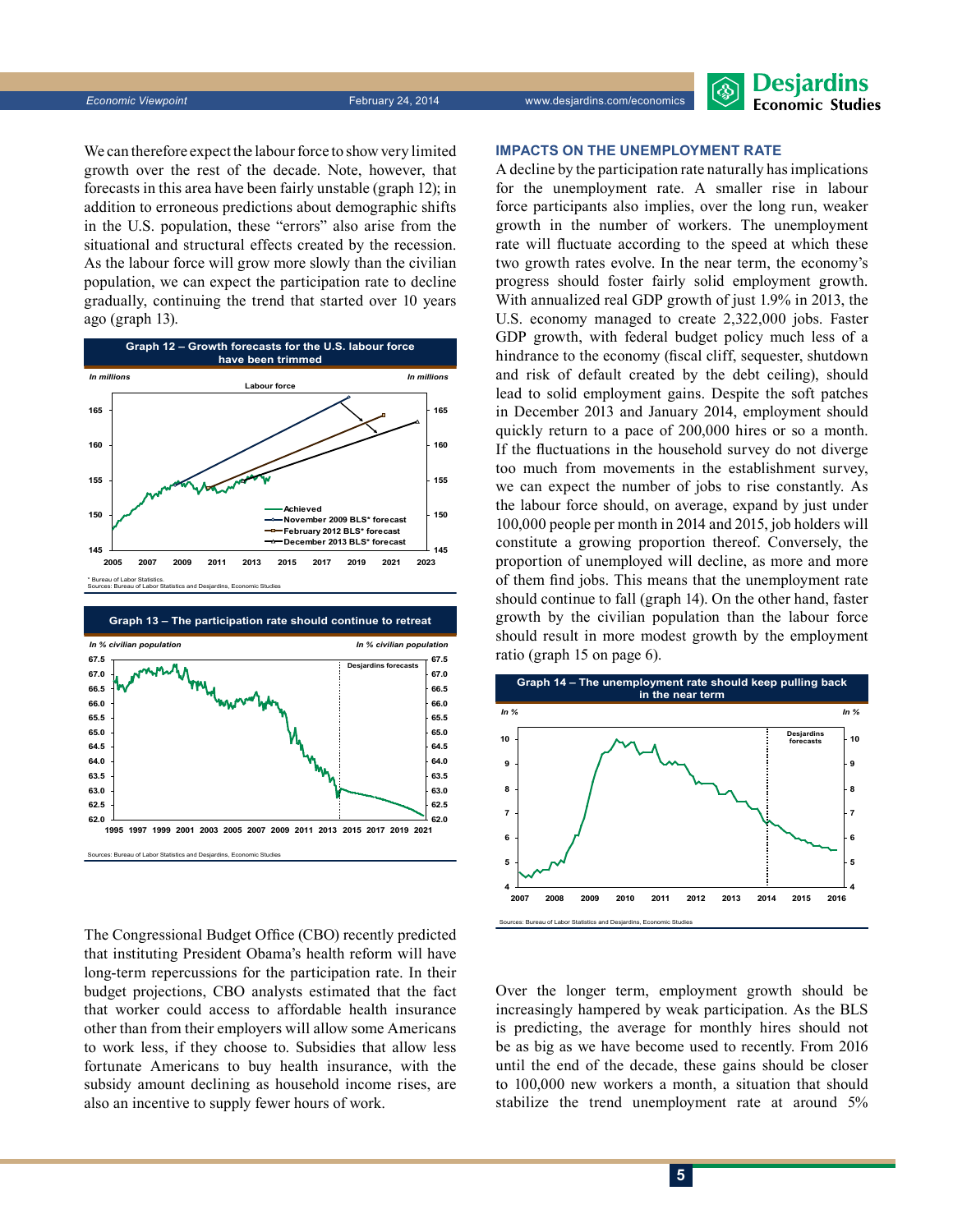**Desjardins Economic Studies** 

We can therefore expect the labour force to show very limited growth over the rest of the decade. Note, however, that forecasts in this area have been fairly unstable (graph 12); in addition to erroneous predictions about demographic shifts in the U.S. population, these "errors" also arise from the situational and structural effects created by the recession. As the labour force will grow more slowly than the civilian population, we can expect the participation rate to decline gradually, continuing the trend that started over 10 years ago (graph 13).





The Congressional Budget Office (CBO) recently predicted that instituting President Obama's health reform will have long-term repercussions for the participation rate. In their budget projections, CBO analysts estimated that the fact that worker could access to affordable health insurance other than from their employers will allow some Americans to work less, if they choose to. Subsidies that allow less fortunate Americans to buy health insurance, with the subsidy amount declining as household income rises, are also an incentive to supply fewer hours of work.

#### **Impacts on the unemployment rate**

A decline by the participation rate naturally has implications for the unemployment rate. A smaller rise in labour force participants also implies, over the long run, weaker growth in the number of workers. The unemployment rate will fluctuate according to the speed at which these two growth rates evolve. In the near term, the economy's progress should foster fairly solid employment growth. With annualized real GDP growth of just 1.9% in 2013, the U.S. economy managed to create 2,322,000 jobs. Faster GDP growth, with federal budget policy much less of a hindrance to the economy (fiscal cliff, sequester, shutdown and risk of default created by the debt ceiling), should lead to solid employment gains. Despite the soft patches in December 2013 and January 2014, employment should quickly return to a pace of 200,000 hires or so a month. If the fluctuations in the household survey do not diverge too much from movements in the establishment survey, we can expect the number of jobs to rise constantly. As the labour force should, on average, expand by just under 100,000 people per month in 2014 and 2015, job holders will constitute a growing proportion thereof. Conversely, the proportion of unemployed will decline, as more and more of them find jobs. This means that the unemployment rate should continue to fall (graph 14). On the other hand, faster growth by the civilian population than the labour force should result in more modest growth by the employment ratio (graph 15 on page 6).



Over the longer term, employment growth should be increasingly hampered by weak participation. As the BLS is predicting, the average for monthly hires should not be as big as we have become used to recently. From 2016 until the end of the decade, these gains should be closer to 100,000 new workers a month, a situation that should stabilize the trend unemployment rate at around 5%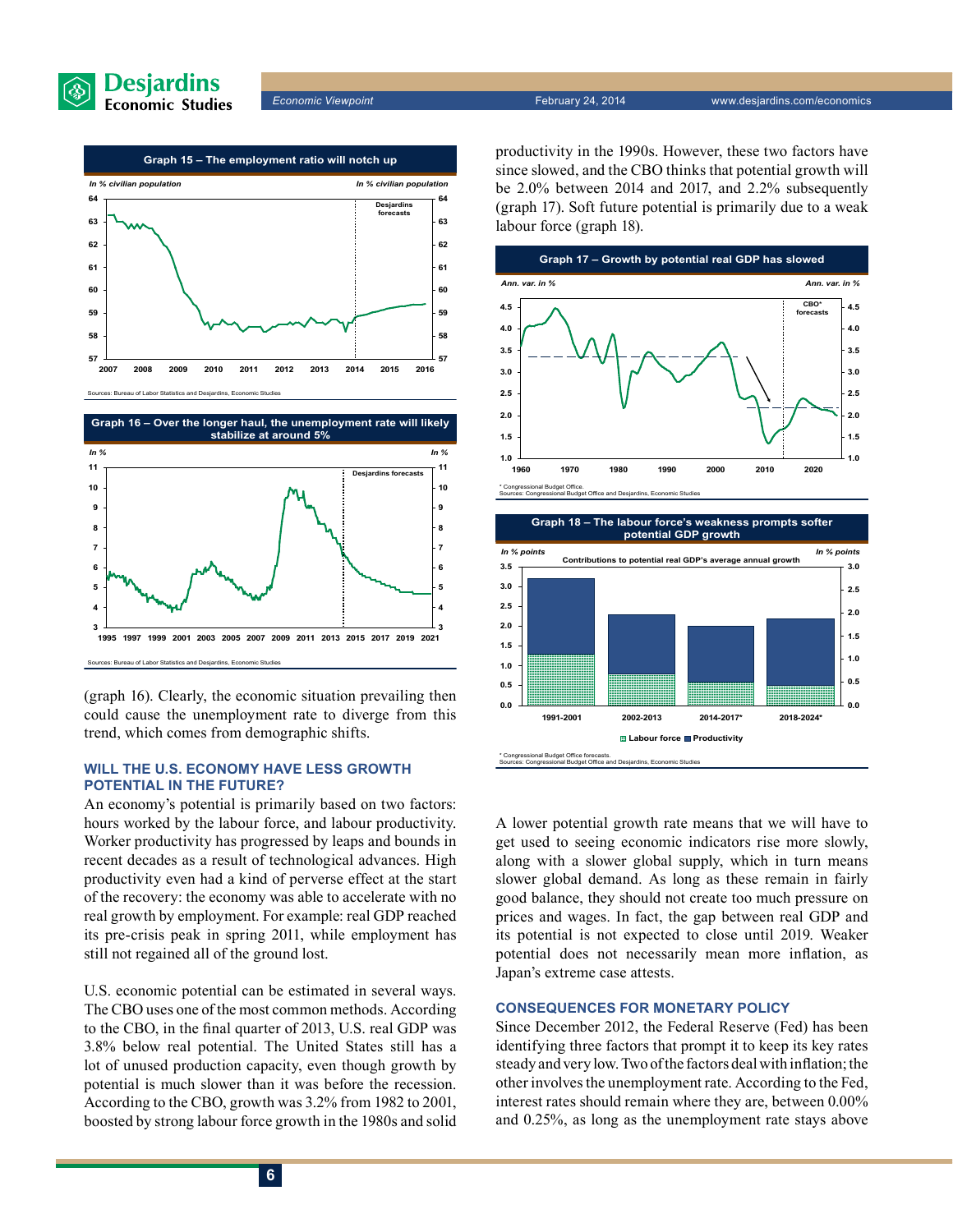





(graph 16). Clearly, the economic situation prevailing then could cause the unemployment rate to diverge from this trend, which comes from demographic shifts.

#### **Will the U.S. economy have less growth potential in the future?**

An economy's potential is primarily based on two factors: hours worked by the labour force, and labour productivity. Worker productivity has progressed by leaps and bounds in recent decades as a result of technological advances. High productivity even had a kind of perverse effect at the start of the recovery: the economy was able to accelerate with no real growth by employment. For example: real GDP reached its pre-crisis peak in spring 2011, while employment has still not regained all of the ground lost.

U.S. economic potential can be estimated in several ways. The CBO uses one of the most common methods. According to the CBO, in the final quarter of 2013, U.S. real GDP was 3.8% below real potential. The United States still has a lot of unused production capacity, even though growth by potential is much slower than it was before the recession. According to the CBO, growth was 3.2% from 1982 to 2001, boosted by strong labour force growth in the 1980s and solid productivity in the 1990s. However, these two factors have since slowed, and the CBO thinks that potential growth will be 2.0% between 2014 and 2017, and 2.2% subsequently (graph 17). Soft future potential is primarily due to a weak labour force (graph 18).





A lower potential growth rate means that we will have to get used to seeing economic indicators rise more slowly, along with a slower global supply, which in turn means slower global demand. As long as these remain in fairly good balance, they should not create too much pressure on prices and wages. In fact, the gap between real GDP and its potential is not expected to close until 2019. Weaker potential does not necessarily mean more inflation, as Japan's extreme case attests.

#### **Consequences for monetary policy**

Since December 2012, the Federal Reserve (Fed) has been identifying three factors that prompt it to keep its key rates steady and very low. Two of the factors deal with inflation; the other involves the unemployment rate. According to the Fed, interest rates should remain where they are, between 0.00% and 0.25%, as long as the unemployment rate stays above